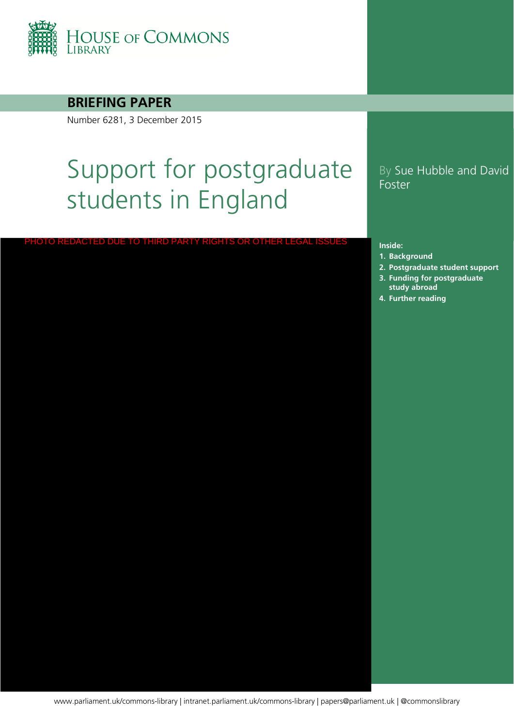

#### **BRIEFING PAPER**

Number 6281, 3 December 2015

# Support for postgraduate students in England

PHOTO REDACTED DUE TO THIRD PARTY RIGHTS OR OTHER LEGAL ISSUES

#### By Sue Hubble and David Foster

#### **Inside:**

- **1. [Background](#page-3-0)**
- **2. [Postgraduate student support](#page-5-0)**
- **3. Funding for postgraduate study abroad**
- **4. [Further reading](#page-15-0)**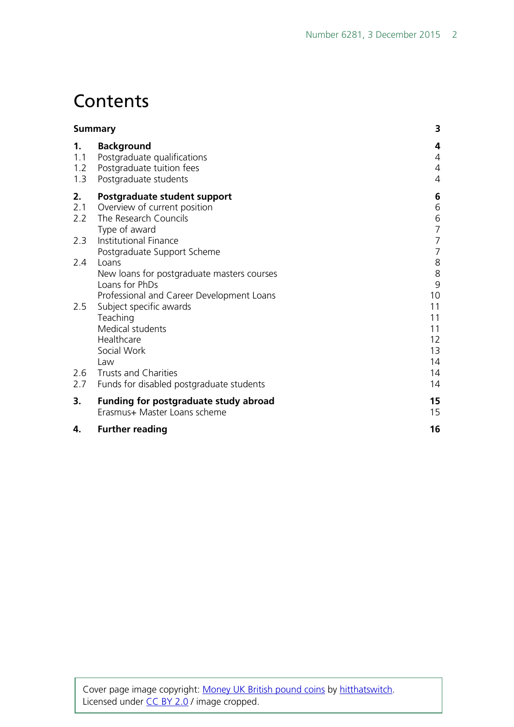## **Contents**

|                         | <b>Summary</b>                                                                                                     | 3                                |
|-------------------------|--------------------------------------------------------------------------------------------------------------------|----------------------------------|
| 1.<br>1.1<br>1.2<br>1.3 | <b>Background</b><br>Postgraduate qualifications<br>Postgraduate tuition fees<br>Postgraduate students             | 4<br>4<br>4<br>4                 |
| 2.<br>2.1<br>2.2        | Postgraduate student support<br>Overview of current position<br>The Research Councils<br>Type of award             | 6<br>6<br>6<br>$\overline{7}$    |
| 2.3                     | Institutional Finance<br>Postgraduate Support Scheme                                                               | $\overline{7}$<br>$\overline{7}$ |
| 2.4                     | Loans<br>New loans for postgraduate masters courses<br>Loans for PhDs<br>Professional and Career Development Loans | 8<br>$8\,$<br>9<br>10            |
| 2.5                     | Subject specific awards<br>Teaching<br>Medical students<br>Healthcare<br>Social Work<br>Law                        | 11<br>11<br>11<br>12<br>13<br>14 |
| 2.6<br>2.7              | <b>Trusts and Charities</b><br>Funds for disabled postgraduate students                                            | 14<br>14                         |
| 3.                      | <b>Funding for postgraduate study abroad</b><br>Erasmus+ Master Loans scheme                                       | 15<br>15                         |
| 4.                      | <b>Further reading</b>                                                                                             | 16                               |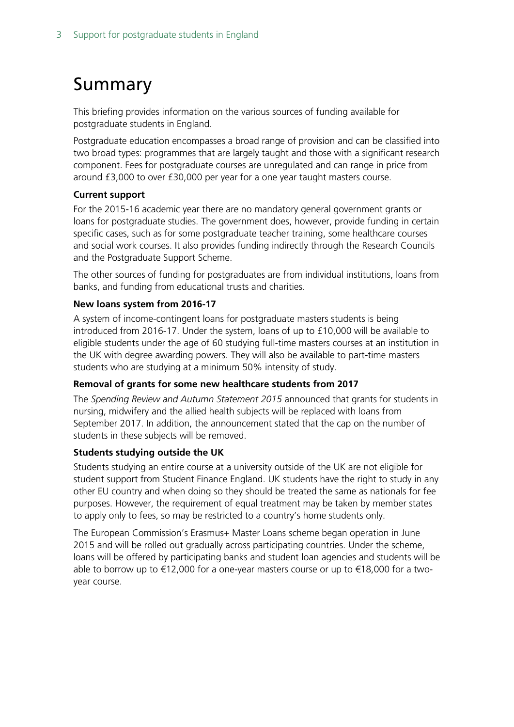## <span id="page-2-0"></span>Summary

This briefing provides information on the various sources of funding available for postgraduate students in England.

Postgraduate education encompasses a broad range of provision and can be classified into two broad types: programmes that are largely taught and those with a significant research component. Fees for postgraduate courses are unregulated and can range in price from around £3,000 to over £30,000 per year for a one year taught masters course.

#### **Current support**

For the 2015-16 academic year there are no mandatory general government grants or loans for postgraduate studies. The government does, however, provide funding in certain specific cases, such as for some postgraduate teacher training, some healthcare courses and social work courses. It also provides funding indirectly through the Research Councils and the Postgraduate Support Scheme.

The other sources of funding for postgraduates are from individual institutions, loans from banks, and funding from educational trusts and charities.

#### **New loans system from 2016-17**

A system of income-contingent loans for postgraduate masters students is being introduced from 2016-17. Under the system, loans of up to £10,000 will be available to eligible students under the age of 60 studying full-time masters courses at an institution in the UK with degree awarding powers. They will also be available to part-time masters students who are studying at a minimum 50% intensity of study.

#### **Removal of grants for some new healthcare students from 2017**

The *Spending Review and Autumn Statement 2015* announced that grants for students in nursing, midwifery and the allied health subjects will be replaced with loans from September 2017. In addition, the announcement stated that the cap on the number of students in these subjects will be removed.

#### **Students studying outside the UK**

Students studying an entire course at a university outside of the UK are not eligible for student support from Student Finance England. UK students have the right to study in any other EU country and when doing so they should be treated the same as nationals for fee purposes. However, the requirement of equal treatment may be taken by member states to apply only to fees, so may be restricted to a country's home students only.

The European Commission's Erasmus+ Master Loans scheme began operation in June 2015 and will be rolled out gradually across participating countries. Under the scheme, loans will be offered by participating banks and student loan agencies and students will be able to borrow up to €12,000 for a one-year masters course or up to €18,000 for a twoyear course.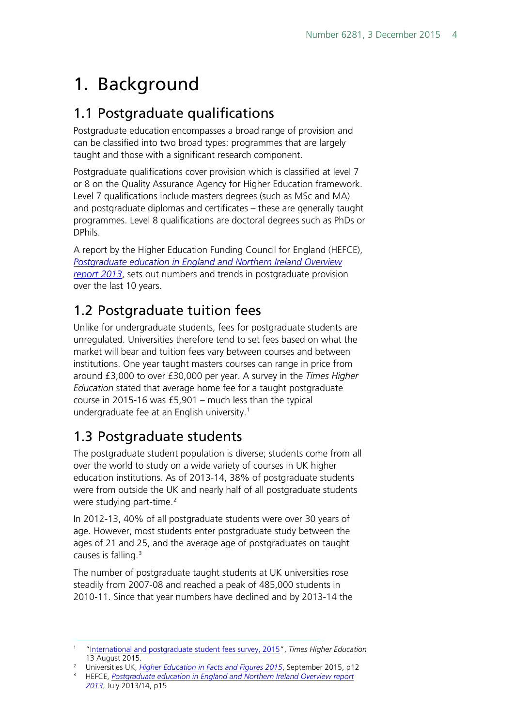## <span id="page-3-0"></span>1. Background

### <span id="page-3-1"></span>1.1 Postgraduate qualifications

Postgraduate education encompasses a broad range of provision and can be classified into two broad types: programmes that are largely taught and those with a significant research component.

Postgraduate qualifications cover provision which is classified at level 7 or 8 on the Quality Assurance Agency for Higher Education framework. Level 7 qualifications include masters degrees (such as MSc and MA) and postgraduate diplomas and certificates – these are generally taught programmes. Level 8 qualifications are doctoral degrees such as PhDs or DPhils.

A report by the Higher Education Funding Council for England (HEFCE), *[Postgraduate education in England and Northern Ireland Overview](http://www.hefce.ac.uk/media/hefce/content/pubs/2013/201314/Postgraduate%20education%20in%20England%20and%20Northern%20Ireland%20Overview%20report%202013.pdf)  [report 2013](http://www.hefce.ac.uk/media/hefce/content/pubs/2013/201314/Postgraduate%20education%20in%20England%20and%20Northern%20Ireland%20Overview%20report%202013.pdf)*, sets out numbers and trends in postgraduate provision over the last 10 years.

### <span id="page-3-2"></span>1.2 Postgraduate tuition fees

Unlike for undergraduate students, fees for postgraduate students are unregulated. Universities therefore tend to set fees based on what the market will bear and tuition fees vary between courses and between institutions. One year taught masters courses can range in price from around £3,000 to over £30,000 per year. A survey in the *Times Higher Education* stated that average home fee for a taught postgraduate course in 2015-16 was £5,901 – much less than the typical undergraduate fee at an English university.<sup>[1](#page-3-4)</sup>

### <span id="page-3-3"></span>1.3 Postgraduate students

The postgraduate student population is diverse; students come from all over the world to study on a wide variety of courses in UK higher education institutions. As of 2013-14, 38% of postgraduate students were from outside the UK and nearly half of all postgraduate students were studying part-time.<sup>[2](#page-3-5)</sup>

In 2012-13, 40% of all postgraduate students were over 30 years of age. However, most students enter postgraduate study between the ages of 21 and 25, and the average age of postgraduates on taught causes is falling.<sup>[3](#page-3-6)</sup>

The number of postgraduate taught students at UK universities rose steadily from 2007-08 and reached a peak of 485,000 students in 2010-11. Since that year numbers have declined and by 2013-14 the

<span id="page-3-4"></span> <sup>1</sup> ["International and postgraduate student fees survey, 2015](https://www.timeshighereducation.co.uk/features/international-and-postgraduate-fee-survey-2015?nopaging=1)", *Times Higher Education* 13 August 2015.

<span id="page-3-5"></span><sup>&</sup>lt;sup>2</sup> Universities UK, *[Higher Education in Facts and Figures 2015](http://www.universitiesuk.ac.uk/highereducation/Documents/2015/higher-education-in-facts-and-figures-2015.pdf)*, September 2015, p12

<span id="page-3-6"></span><sup>&</sup>lt;sup>3</sup> HEFCE, *Postgraduate education in England and Northern Ireland Overview report [2013](http://www.hefce.ac.uk/media/hefce/content/pubs/2013/201314/Postgraduate%20education%20in%20England%20and%20Northern%20Ireland%20Overview%20report%202013.pdf)*, July 2013/14, p15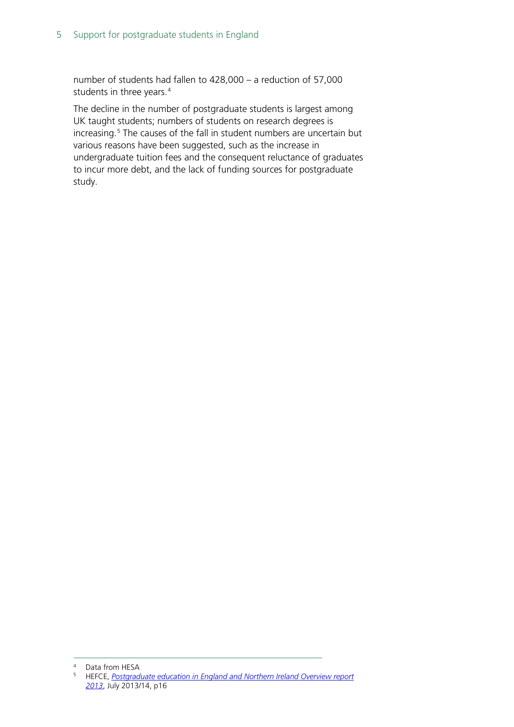number of students had fallen to 428,000 – a reduction of 57,000 students in three years.<sup>[4](#page-4-0)</sup>

The decline in the number of postgraduate students is largest among UK taught students; numbers of students on research degrees is increasing.<sup>[5](#page-4-1)</sup> The causes of the fall in student numbers are uncertain but various reasons have been suggested, such as the increase in undergraduate tuition fees and the consequent reluctance of graduates to incur more debt, and the lack of funding sources for postgraduate study.

<span id="page-4-1"></span><span id="page-4-0"></span>

<sup>4</sup> Data from HESA<br><sup>5</sup> HEFCE, *Postgraduate education in England and Northern Ireland Overview report [2013](http://www.hefce.ac.uk/media/hefce/content/pubs/2013/201314/Postgraduate%20education%20in%20England%20and%20Northern%20Ireland%20Overview%20report%202013.pdf)*, July 2013/14, p16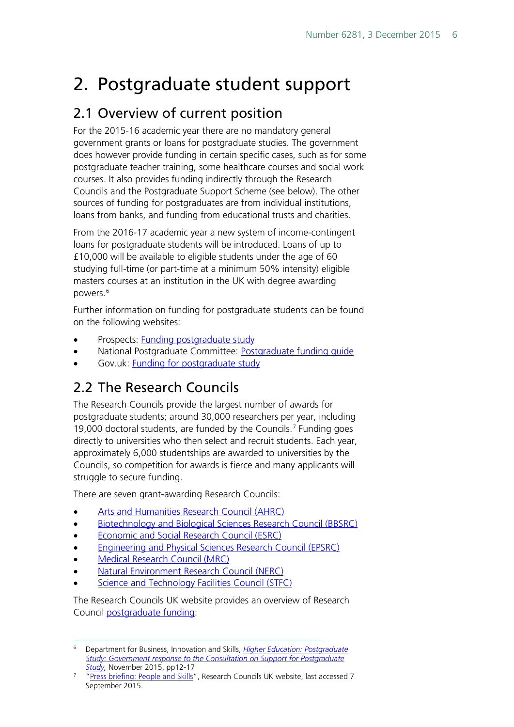## <span id="page-5-0"></span>2. Postgraduate student support

### <span id="page-5-1"></span>2.1 Overview of current position

For the 2015-16 academic year there are no mandatory general government grants or loans for postgraduate studies. The government does however provide funding in certain specific cases, such as for some postgraduate teacher training, some healthcare courses and social work courses. It also provides funding indirectly through the Research Councils and the Postgraduate Support Scheme (see below). The other sources of funding for postgraduates are from individual institutions, loans from banks, and funding from educational trusts and charities.

From the 2016-17 academic year a new system of income-contingent loans for postgraduate students will be introduced. Loans of up to £10,000 will be available to eligible students under the age of 60 studying full-time (or part-time at a minimum 50% intensity) eligible masters courses at an institution in the UK with degree awarding powers.[6](#page-5-3)

Further information on funding for postgraduate students can be found on the following websites:

- Prospects: [Funding postgraduate study](http://www.prospects.ac.uk/funding_my_further_study.htm)
- National Postgraduate Committee: [Postgraduate funding guide](http://www.npc.org.uk/page/1082154863)
- Gov.uk: **Funding for postgraduate study**

### <span id="page-5-2"></span>2.2 The Research Councils

The Research Councils provide the largest number of awards for postgraduate students; around 30,000 researchers per year, including 19,000 doctoral students, are funded by the Councils.<sup>[7](#page-5-4)</sup> Funding goes directly to universities who then select and recruit students. Each year, approximately 6,000 studentships are awarded to universities by the Councils, so competition for awards is fierce and many applicants will struggle to secure funding.

There are seven grant-awarding Research Councils:

- [Arts and Humanities Research Council \(AHRC\)](http://www.ahrc.ac.uk/skills/phdstudents/fundingandtraining/)
- [Biotechnology and Biological Sciences Research Council \(BBSRC\)](http://www.bbsrc.ac.uk/funding/studentships/)
- [Economic and Social Research Council \(ESRC\)](http://www.esrc.ac.uk/funding/guidance-for-applicants/)
- [Engineering and Physical Sciences Research Council \(EPSRC\)](https://www.epsrc.ac.uk/funding/howtoapply/fundingguide/)
- [Medical Research Council \(MRC\)](http://www.mrc.ac.uk/funding/guidance-for-applicants/)
- [Natural Environment Research Council \(NERC\)](http://www.nerc.ac.uk/funding/available/postgrad/)
- [Science and Technology Facilities Council \(STFC\)](https://www.stfc.ac.uk/565.aspx)

The Research Councils UK website provides an overview of Research Council [postgraduate funding:](http://www.rcuk.ac.uk/skills/postgrad/)

<span id="page-5-3"></span> <sup>6</sup> Department for Business, Innovation and Skills, *[Higher Education: Postgraduate](https://www.gov.uk/government/uploads/system/uploads/attachment_data/file/479703/bis-15-573-support-postgraduate-study-response.pdf)  [Study: Government response to the Consultation on Support for Postgraduate](https://www.gov.uk/government/uploads/system/uploads/attachment_data/file/479703/bis-15-573-support-postgraduate-study-response.pdf)  [Study,](https://www.gov.uk/government/uploads/system/uploads/attachment_data/file/479703/bis-15-573-support-postgraduate-study-response.pdf)* November 2015, pp12-17

<span id="page-5-4"></span><sup>&</sup>lt;sup>7</sup> ["Press briefing: People and Skills"](http://www.rcuk.ac.uk/media/brief/skills/), Research Councils UK website, last accessed 7 September 2015.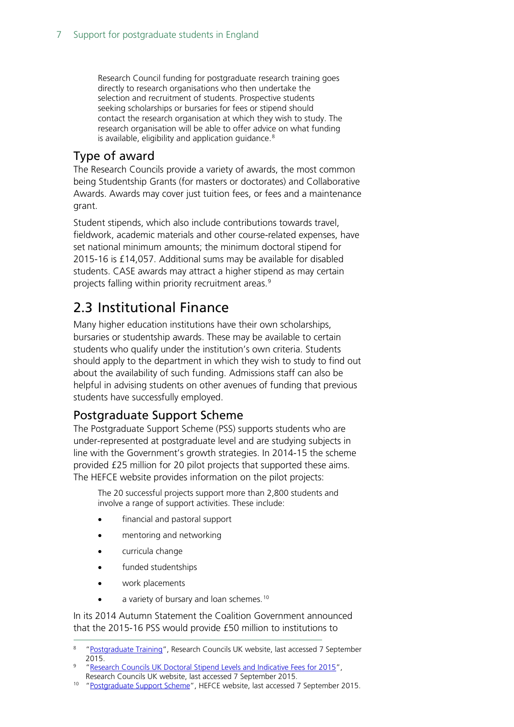Research Council funding for postgraduate research training goes directly to research organisations who then undertake the selection and recruitment of students. Prospective students seeking scholarships or bursaries for fees or stipend should contact the research organisation at which they wish to study. The research organisation will be able to offer advice on what funding is available, eligibility and application guidance. $8$ 

#### <span id="page-6-0"></span>Type of award

The Research Councils provide a variety of awards, the most common being Studentship Grants (for masters or doctorates) and Collaborative Awards. Awards may cover just tuition fees, or fees and a maintenance grant.

Student stipends, which also include contributions towards travel, fieldwork, academic materials and other course-related expenses, have set national minimum amounts; the minimum doctoral stipend for 2015-16 is £14,057. Additional sums may be available for disabled students. CASE awards may attract a higher stipend as may certain projects falling within priority recruitment areas.<sup>[9](#page-6-4)</sup>

### <span id="page-6-1"></span>2.3 Institutional Finance

Many higher education institutions have their own scholarships, bursaries or studentship awards. These may be available to certain students who qualify under the institution's own criteria. Students should apply to the department in which they wish to study to find out about the availability of such funding. Admissions staff can also be helpful in advising students on other avenues of funding that previous students have successfully employed.

#### <span id="page-6-2"></span>Postgraduate Support Scheme

The Postgraduate Support Scheme (PSS) supports students who are under-represented at postgraduate level and are studying subjects in line with the Government's growth strategies. In 2014-15 the scheme provided £25 million for 20 pilot projects that supported these aims. The HEFCE website provides information on the pilot projects:

The 20 successful projects support more than 2,800 students and involve a range of support activities. These include:

- financial and pastoral support
- mentoring and networking
- curricula change
- funded studentships
- work placements
- a variety of bursary and loan schemes.<sup>[10](#page-6-5)</sup>

In its 2014 Autumn Statement the Coalition Government announced that the 2015-16 PSS would provide £50 million to institutions to

<span id="page-6-3"></span> <sup>8</sup> ["Postgraduate Training"](http://www.rcuk.ac.uk/skills/postgrad/), Research Councils UK website, last accessed 7 September 2015.

<span id="page-6-4"></span><sup>9</sup> ["Research Councils UK Doctoral Stipend Levels and Indicative Fees for 2015"](http://www.rcuk.ac.uk/media/announcements/150121/), Research Councils UK website, last accessed 7 September 2015.

<span id="page-6-5"></span><sup>10</sup> ["Postgraduate Support Scheme"](http://www.hefce.ac.uk/sas/PSS/), HEFCE website, last accessed 7 September 2015.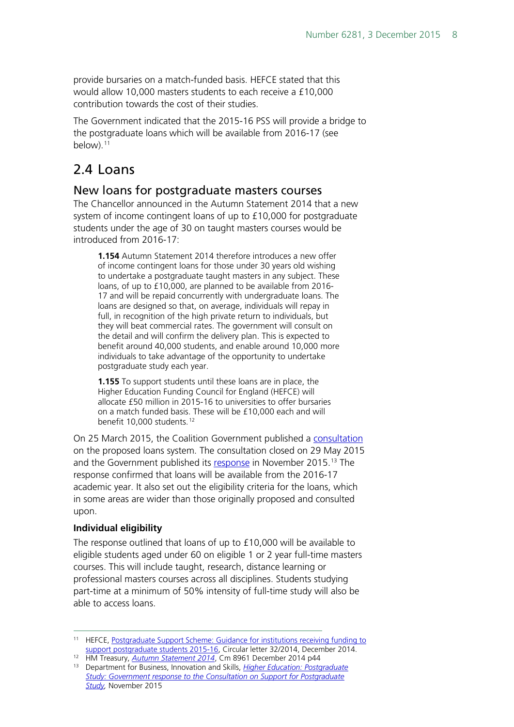provide bursaries on a match-funded basis. HEFCE stated that this would allow 10,000 masters students to each receive a £10,000 contribution towards the cost of their studies.

The Government indicated that the 2015-16 PSS will provide a bridge to the postgraduate loans which will be available from 2016-17 (see below).<sup>[11](#page-7-2)</sup>

### <span id="page-7-0"></span>2.4 Loans

#### <span id="page-7-1"></span>New loans for postgraduate masters courses

The Chancellor announced in the Autumn Statement 2014 that a new system of income contingent loans of up to £10,000 for postgraduate students under the age of 30 on taught masters courses would be introduced from 2016-17:

**1.154** Autumn Statement 2014 therefore introduces a new offer of income contingent loans for those under 30 years old wishing to undertake a postgraduate taught masters in any subject. These loans, of up to £10,000, are planned to be available from 2016- 17 and will be repaid concurrently with undergraduate loans. The loans are designed so that, on average, individuals will repay in full, in recognition of the high private return to individuals, but they will beat commercial rates. The government will consult on the detail and will confirm the delivery plan. This is expected to benefit around 40,000 students, and enable around 10,000 more individuals to take advantage of the opportunity to undertake postgraduate study each year.

**1.155** To support students until these loans are in place, the Higher Education Funding Council for England (HEFCE) will allocate £50 million in 2015-16 to universities to offer bursaries on a match funded basis. These will be £10,000 each and will benefit 10,000 students.<sup>[12](#page-7-3)</sup>

On 25 March 2015, the Coalition Government published a [consultation](https://www.gov.uk/government/uploads/system/uploads/attachment_data/file/416243/BIS-15-185-consultation-on-support-for-postgraduate-study.pdf) on the proposed loans system. The consultation closed on 29 May 2015 and the Government published its [response](https://www.gov.uk/government/uploads/system/uploads/attachment_data/file/479703/bis-15-573-support-postgraduate-study-response.pdf) in November 2015.<sup>[13](#page-7-4)</sup> The response confirmed that loans will be available from the 2016-17 academic year. It also set out the eligibility criteria for the loans, which in some areas are wider than those originally proposed and consulted upon.

#### **Individual eligibility**

The response outlined that loans of up to £10,000 will be available to eligible students aged under 60 on eligible 1 or 2 year full-time masters courses. This will include taught, research, distance learning or professional masters courses across all disciplines. Students studying part-time at a minimum of 50% intensity of full-time study will also be able to access loans.

<span id="page-7-2"></span><sup>&</sup>lt;sup>11</sup> HEFCE, Postgraduate Support Scheme: Guidance for institutions receiving funding to [support postgraduate students 2015-16,](http://www.hefce.ac.uk/pubs/year/2014/cl322014/name,99146,en.html) Circular letter 32/2014, December 2014.

<span id="page-7-4"></span><span id="page-7-3"></span>

<sup>&</sup>lt;sup>12</sup> HM Treasury, *Autumn Statement 2014*, Cm 8961 December 2014 p44<br><sup>13</sup> Department for Business, Innovation and Skills, *Higher Education: Postgraduate [Study: Government response to the Consultation on Support for Postgraduate](https://www.gov.uk/government/uploads/system/uploads/attachment_data/file/479703/bis-15-573-support-postgraduate-study-response.pdf)  [Study,](https://www.gov.uk/government/uploads/system/uploads/attachment_data/file/479703/bis-15-573-support-postgraduate-study-response.pdf)* November 2015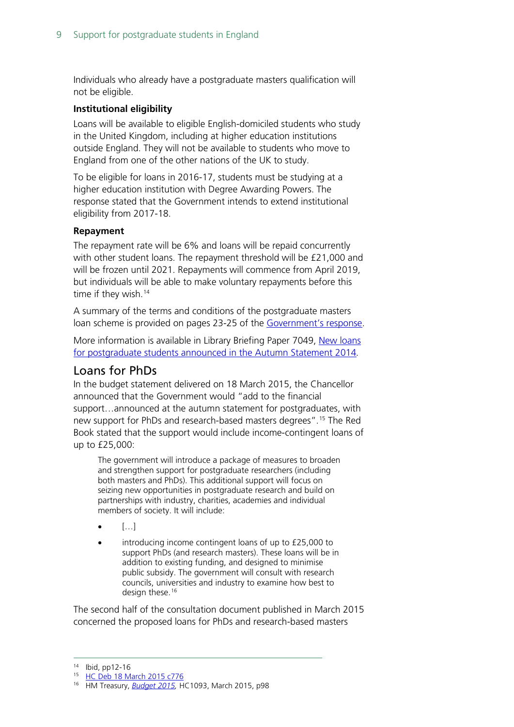Individuals who already have a postgraduate masters qualification will not be eligible.

#### **Institutional eligibility**

Loans will be available to eligible English-domiciled students who study in the United Kingdom, including at higher education institutions outside England. They will not be available to students who move to England from one of the other nations of the UK to study.

To be eligible for loans in 2016-17, students must be studying at a higher education institution with Degree Awarding Powers. The response stated that the Government intends to extend institutional eligibility from 2017-18.

#### **Repayment**

The repayment rate will be 6% and loans will be repaid concurrently with other student loans. The repayment threshold will be £21,000 and will be frozen until 2021. Repayments will commence from April 2019, but individuals will be able to make voluntary repayments before this time if they wish.<sup>[14](#page-8-1)</sup>

A summary of the terms and conditions of the postgraduate masters loan scheme is provided on pages 23-25 of the [Government's response.](https://www.gov.uk/government/uploads/system/uploads/attachment_data/file/479703/bis-15-573-support-postgraduate-study-response.pdf)

More information is available in Library Briefing Paper 7049, New loans [for postgraduate students announced in the Autumn Statement 2014](http://www.parliament.uk/business/publications/research/briefing-papers/SN07049/new-loans-for-postgraduate-students-announced-in-the-autumn-statement-2014)*.*

#### <span id="page-8-0"></span>Loans for PhDs

In the budget statement delivered on 18 March 2015, the Chancellor announced that the Government would "add to the financial support…announced at the autumn statement for postgraduates, with new support for PhDs and research-based masters degrees".[15](#page-8-2) The Red Book stated that the support would include income-contingent loans of up to £25,000:

The government will introduce a package of measures to broaden and strengthen support for postgraduate researchers (including both masters and PhDs). This additional support will focus on seizing new opportunities in postgraduate research and build on partnerships with industry, charities, academies and individual members of society. It will include:

- $[...]$
- introducing income contingent loans of up to £25,000 to support PhDs (and research masters). These loans will be in addition to existing funding, and designed to minimise public subsidy. The government will consult with research councils, universities and industry to examine how best to design these.<sup>[16](#page-8-3)</sup>

The second half of the consultation document published in March 2015 concerned the proposed loans for PhDs and research-based masters

<span id="page-8-1"></span> <sup>14</sup> Ibid, pp12-16

<span id="page-8-2"></span><sup>15</sup> [HC Deb 18 March 2015 c776](http://www.publications.parliament.uk/pa/cm201415/cmhansrd/cm150318/debtext/150318-0001.htm#15031840000001)

<span id="page-8-3"></span><sup>16</sup> HM Treasury, *[Budget 2015,](https://www.gov.uk/government/uploads/system/uploads/attachment_data/file/416330/47881_Budget_2015_Web_Accessible.pdf)* HC1093, March 2015, p98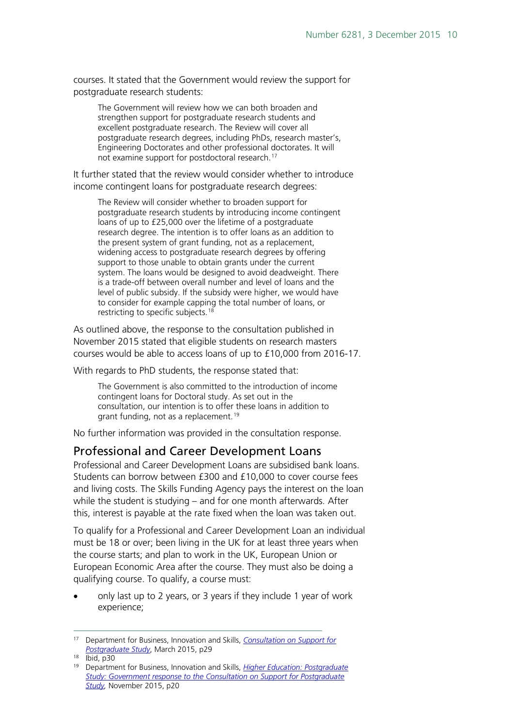courses. It stated that the Government would review the support for postgraduate research students:

The Government will review how we can both broaden and strengthen support for postgraduate research students and excellent postgraduate research. The Review will cover all postgraduate research degrees, including PhDs, research master's, Engineering Doctorates and other professional doctorates. It will not examine support for postdoctoral research.[17](#page-9-1)

It further stated that the review would consider whether to introduce income contingent loans for postgraduate research degrees:

The Review will consider whether to broaden support for postgraduate research students by introducing income contingent loans of up to £25,000 over the lifetime of a postgraduate research degree. The intention is to offer loans as an addition to the present system of grant funding, not as a replacement, widening access to postgraduate research degrees by offering support to those unable to obtain grants under the current system. The loans would be designed to avoid deadweight. There is a trade-off between overall number and level of loans and the level of public subsidy. If the subsidy were higher, we would have to consider for example capping the total number of loans, or restricting to specific subjects.<sup>[18](#page-9-2)</sup>

As outlined above, the response to the consultation published in November 2015 stated that eligible students on research masters courses would be able to access loans of up to £10,000 from 2016-17.

With regards to PhD students, the response stated that:

The Government is also committed to the introduction of income contingent loans for Doctoral study. As set out in the consultation, our intention is to offer these loans in addition to grant funding, not as a replacement.<sup>[19](#page-9-3)</sup>

No further information was provided in the consultation response.

#### <span id="page-9-0"></span>Professional and Career Development Loans

Professional and Career Development Loans are subsidised bank loans. Students can borrow between £300 and £10,000 to cover course fees and living costs. The Skills Funding Agency pays the interest on the loan while the student is studying – and for one month afterwards. After this, interest is payable at the rate fixed when the loan was taken out.

To qualify for a Professional and Career Development Loan an individual must be 18 or over; been living in the UK for at least three years when the course starts; and plan to work in the UK, European Union or European Economic Area after the course. They must also be doing a qualifying course. To qualify, a course must:

• only last up to 2 years, or 3 years if they include 1 year of work experience;

<span id="page-9-1"></span> <sup>17</sup> Department for Business, Innovation and Skills, *[Consultation on Support for](https://www.gov.uk/government/uploads/system/uploads/attachment_data/file/416243/BIS-15-185-consultation-on-support-for-postgraduate-study.pdf)  [Postgraduate Study](https://www.gov.uk/government/uploads/system/uploads/attachment_data/file/416243/BIS-15-185-consultation-on-support-for-postgraduate-study.pdf)*, March 2015, p29

<span id="page-9-2"></span><sup>18</sup> Ibid, p30

<span id="page-9-3"></span><sup>19</sup> Department for Business, Innovation and Skills, *[Higher Education: Postgraduate](https://www.gov.uk/government/uploads/system/uploads/attachment_data/file/479703/bis-15-573-support-postgraduate-study-response.pdf)  [Study: Government response to the Consultation on Support for Postgraduate](https://www.gov.uk/government/uploads/system/uploads/attachment_data/file/479703/bis-15-573-support-postgraduate-study-response.pdf)  [Study,](https://www.gov.uk/government/uploads/system/uploads/attachment_data/file/479703/bis-15-573-support-postgraduate-study-response.pdf)* November 2015, p20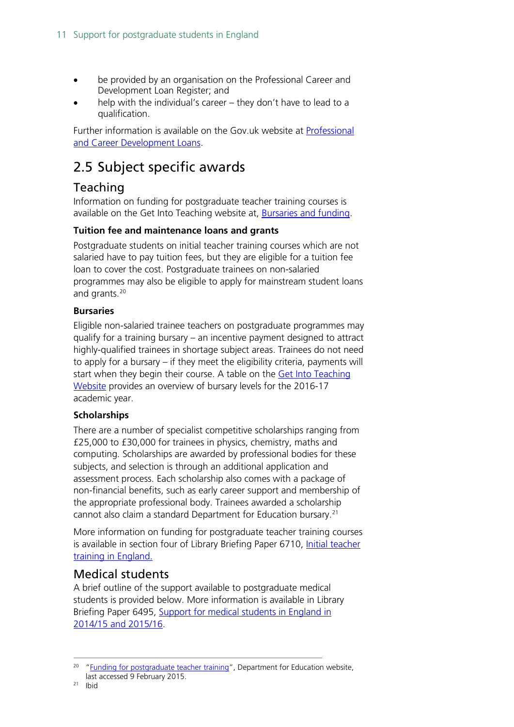- be provided by an organisation on the Professional Career and Development Loan Register; and
- help with the individual's career they don't have to lead to a qualification.

Further information is available on the Gov.uk website at [Professional](https://www.gov.uk/career-development-loans/eligibility)  [and Career Development Loans.](https://www.gov.uk/career-development-loans/eligibility)

### <span id="page-10-0"></span>2.5 Subject specific awards

### <span id="page-10-1"></span>Teaching

Information on funding for postgraduate teacher training courses is available on the Get Into Teaching website at, **Bursaries and funding**.

#### **Tuition fee and maintenance loans and grants**

Postgraduate students on initial teacher training courses which are not salaried have to pay tuition fees, but they are eligible for a tuition fee loan to cover the cost. Postgraduate trainees on non-salaried programmes may also be eligible to apply for mainstream student loans and grants.[20](#page-10-3)

#### **Bursaries**

Eligible non-salaried trainee teachers on postgraduate programmes may qualify for a training bursary – an incentive payment designed to attract highly-qualified trainees in shortage subject areas. Trainees do not need to apply for a bursary – if they meet the eligibility criteria, payments will start when they begin their course. A table on the Get Into Teaching [Website](http://www.education.gov.uk/get-into-teaching/funding/postgraduate-funding) provides an overview of bursary levels for the 2016-17 academic year.

#### **Scholarships**

There are a number of specialist competitive scholarships ranging from £25,000 to £30,000 for trainees in physics, chemistry, maths and computing. Scholarships are awarded by professional bodies for these subjects, and selection is through an additional application and assessment process. Each scholarship also comes with a package of non-financial benefits, such as early career support and membership of the appropriate professional body. Trainees awarded a scholarship cannot also claim a standard Department for Education bursary.<sup>[21](#page-10-4)</sup>

More information on funding for postgraduate teacher training courses is available in section four of Library Briefing Paper 6710, Initial teacher [training in England.](http://www.parliament.uk/business/publications/research/briefing-papers/SN06710/initial-teacher-training-in-england)

#### <span id="page-10-2"></span>Medical students

A brief outline of the support available to postgraduate medical students is provided below. More information is available in Library Briefing Paper 6495, [Support for medical students in England in](http://researchbriefings.files.parliament.uk/documents/SN06495/SN06495.pdf)  [2014/15 and 2015/16.](http://researchbriefings.files.parliament.uk/documents/SN06495/SN06495.pdf)

<span id="page-10-4"></span><span id="page-10-3"></span><sup>&</sup>lt;sup>20</sup> ["Funding for postgraduate teacher training"](http://www.education.gov.uk/get-into-teaching/funding/postgraduate-funding), Department for Education website, last accessed 9 February 2015.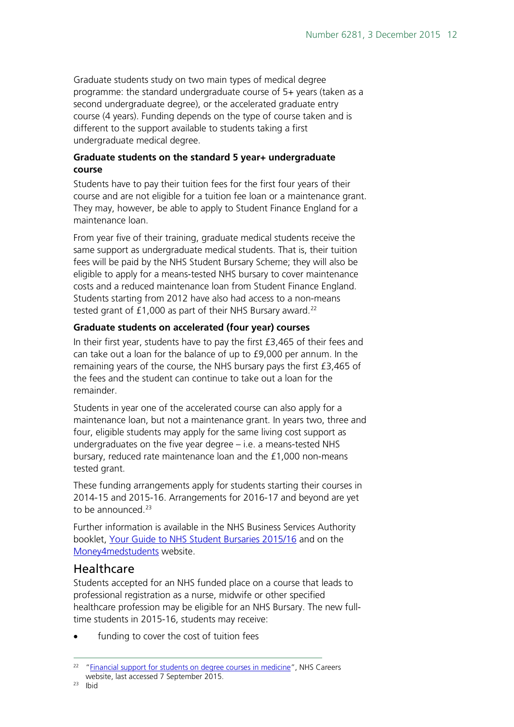Graduate students study on two main types of medical degree programme: the standard undergraduate course of 5+ years (taken as a second undergraduate degree), or the accelerated graduate entry course (4 years). Funding depends on the type of course taken and is different to the support available to students taking a first undergraduate medical degree.

#### **Graduate students on the standard 5 year+ undergraduate course**

Students have to pay their tuition fees for the first four years of their course and are not eligible for a tuition fee loan or a maintenance grant. They may, however, be able to apply to Student Finance England for a maintenance loan.

From year five of their training, graduate medical students receive the same support as undergraduate medical students. That is, their tuition fees will be paid by the NHS Student Bursary Scheme; they will also be eligible to apply for a means-tested NHS bursary to cover maintenance costs and a reduced maintenance loan from Student Finance England. Students starting from 2012 have also had access to a non-means tested grant of  $£1,000$  as part of their NHS Bursary award.<sup>[22](#page-11-1)</sup>

#### **Graduate students on accelerated (four year) courses**

In their first year, students have to pay the first £3,465 of their fees and can take out a loan for the balance of up to £9,000 per annum. In the remaining years of the course, the NHS bursary pays the first £3,465 of the fees and the student can continue to take out a loan for the remainder.

Students in year one of the accelerated course can also apply for a maintenance loan, but not a maintenance grant. In years two, three and four, eligible students may apply for the same living cost support as undergraduates on the five year degree – i.e. a means-tested NHS bursary, reduced rate maintenance loan and the £1,000 non-means tested grant.

These funding arrangements apply for students starting their courses in 2014-15 and 2015-16. Arrangements for 2016-17 and beyond are yet to be announced. $23$ 

Further information is available in the NHS Business Services Authority booklet, [Your Guide to NHS Student Bursaries 2015/16](http://www.nhsbsa.nhs.uk/Documents/Students/Your_guide_to_NHS_Student_Bursaries_2015_-16_(V2)_Web_11.2014.pdf) and on the [Money4medstudents](http://www.money4medstudents.org/finding-money) website.

#### <span id="page-11-0"></span>Healthcare

Students accepted for an NHS funded place on a course that leads to professional registration as a nurse, midwife or other specified healthcare profession may be eligible for an NHS Bursary. The new fulltime students in 2015-16, students may receive:

funding to cover the cost of tuition fees

<span id="page-11-2"></span><span id="page-11-1"></span><sup>&</sup>lt;sup>22</sup> ["Financial support for students on degree courses in medicine"](http://www.nhscareers.nhs.uk/explore-by-career/doctors/training-to-become-a-doctor/undergraduate-medical-education/financial-support-for-students-on-degree-courses-in-medicine/), NHS Careers website, last accessed 7 September 2015.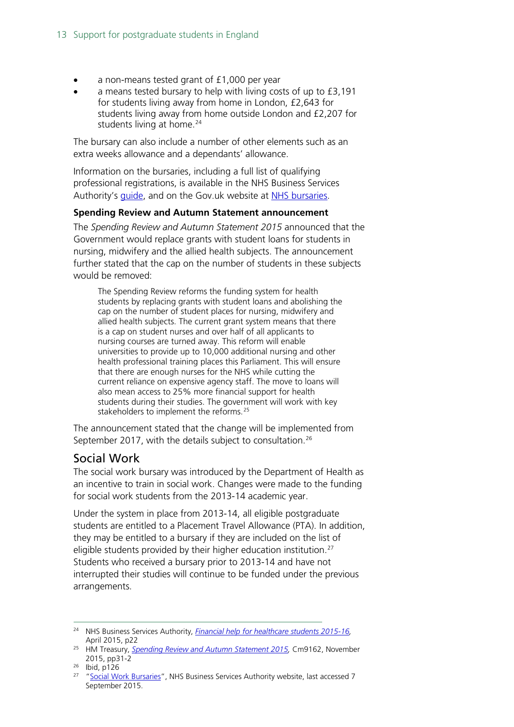- a non-means tested grant of £1,000 per year
- a means tested bursary to help with living costs of up to £3,191 for students living away from home in London, £2,643 for students living away from home outside London and £2,207 for students living at home.<sup>[24](#page-12-1)</sup>

The bursary can also include a number of other elements such as an extra weeks allowance and a dependants' allowance.

Information on the bursaries, including a full list of qualifying professional registrations, is available in the NHS Business Services Authority's *quide*, and on the Gov.uk website at [NHS bursaries.](https://www.gov.uk/nhs-bursaries/overview)

#### **Spending Review and Autumn Statement announcement**

The *Spending Review and Autumn Statement 2015* announced that the Government would replace grants with student loans for students in nursing, midwifery and the allied health subjects. The announcement further stated that the cap on the number of students in these subjects would be removed:

The Spending Review reforms the funding system for health students by replacing grants with student loans and abolishing the cap on the number of student places for nursing, midwifery and allied health subjects. The current grant system means that there is a cap on student nurses and over half of all applicants to nursing courses are turned away. This reform will enable universities to provide up to 10,000 additional nursing and other health professional training places this Parliament. This will ensure that there are enough nurses for the NHS while cutting the current reliance on expensive agency staff. The move to loans will also mean access to 25% more financial support for health students during their studies. The government will work with key stakeholders to implement the reforms.<sup>[25](#page-12-2)</sup>

The announcement stated that the change will be implemented from September 2017, with the details subject to consultation.<sup>26</sup>

#### <span id="page-12-0"></span>Social Work

The social work bursary was introduced by the Department of Health as an incentive to train in social work. Changes were made to the funding for social work students from the 2013-14 academic year.

Under the system in place from 2013-14, all eligible postgraduate students are entitled to a Placement Travel Allowance (PTA). In addition, they may be entitled to a bursary if they are included on the list of eligible students provided by their higher education institution. [27](#page-12-4) Students who received a bursary prior to 2013-14 and have not interrupted their studies will continue to be funded under the previous arrangements.

<span id="page-12-1"></span> <sup>24</sup> NHS Business Services Authority, *[Financial help for healthcare students 2015-16,](http://www.nhsbsa.nhs.uk/Documents/Students/Financial_help_for_healthcare_students_2015-16_(V1)_04.2015.pdf)*  April 2015, p22

<span id="page-12-2"></span><sup>25</sup> HM Treasury, *[Spending Review and Autumn Statement 2015,](https://www.gov.uk/government/uploads/system/uploads/attachment_data/file/479749/52229_Blue_Book_PU1865_Web_Accessible.pdf)* Cm9162, November 2015, pp31-2

<span id="page-12-3"></span><sup>26</sup> Ibid, p126

<span id="page-12-4"></span><sup>&</sup>lt;sup>27</sup> ["Social Work Bursaries"](http://www.nhsbsa.nhs.uk/Students/825.aspx), NHS Business Services Authority website, last accessed 7 September 2015.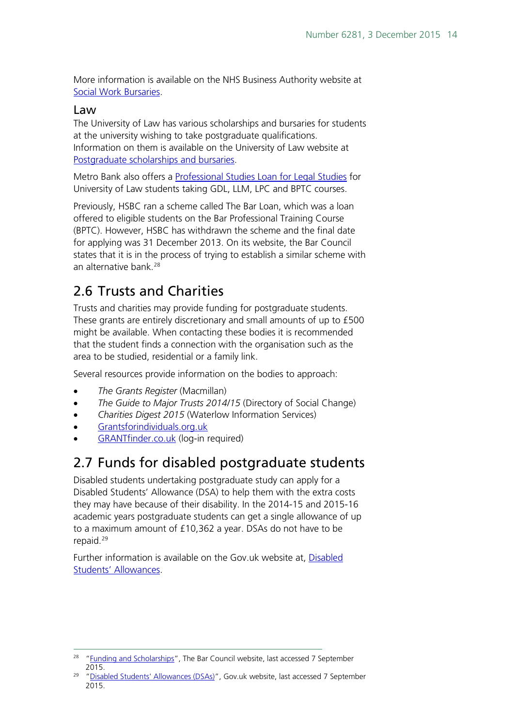More information is available on the NHS Business Authority website at [Social Work Bursaries.](http://www.nhsbsa.nhs.uk/Students/825.aspx)

#### <span id="page-13-0"></span>Law

The University of Law has various scholarships and bursaries for students at the university wishing to take postgraduate qualifications. Information on them is available on the University of Law website at [Postgraduate scholarships and bursaries.](http://www.law.ac.uk/postgraduate/postgraduate-scholarships/)

Metro Bank also offers a [Professional Studies Loan for Legal Studies](http://www.law.ac.uk/postgraduate/postgraduate-funding-options/) for University of Law students taking GDL, LLM, LPC and BPTC courses.

Previously, HSBC ran a scheme called The Bar Loan, which was a loan offered to eligible students on the Bar Professional Training Course (BPTC). However, HSBC has withdrawn the scheme and the final date for applying was 31 December 2013. On its website, the Bar Council states that it is in the process of trying to establish a similar scheme with an alternative bank.<sup>28</sup>

### <span id="page-13-1"></span>2.6 Trusts and Charities

Trusts and charities may provide funding for postgraduate students. These grants are entirely discretionary and small amounts of up to £500 might be available. When contacting these bodies it is recommended that the student finds a connection with the organisation such as the area to be studied, residential or a family link.

Several resources provide information on the bodies to approach:

- *The Grants Register* (Macmillan)
- *The Guide to Major Trusts 2014/15* (Directory of Social Change)
- *Charities Digest 2015* (Waterlow Information Services)
- [Grantsforindividuals.org.uk](http://www.grantsforindividuals.org.uk/search.aspx)
- [GRANTfinder.co.uk](http://www.grantfinder.co.uk/) (log-in required)

### <span id="page-13-2"></span>2.7 Funds for disabled postgraduate students

Disabled students undertaking postgraduate study can apply for a Disabled Students' Allowance (DSA) to help them with the extra costs they may have because of their disability. In the 2014-15 and 2015-16 academic years postgraduate students can get a single allowance of up to a maximum amount of £10,362 a year. DSAs do not have to be repaid.[29](#page-13-4)

Further information is available on the Gov.uk website at, Disabled [Students' Allowances.](https://www.gov.uk/disabled-students-allowances-dsas)

<span id="page-13-3"></span><sup>&</sup>lt;sup>28</sup> ["Funding and Scholarships"](http://www.barcouncil.org.uk/careers/finance-and-funding/funding-and-scholarships/), The Bar Council website, last accessed 7 September 2015.

<span id="page-13-4"></span><sup>29</sup> ["Disabled Students' Allowances \(DSAs\)"](https://www.gov.uk/disabled-students-allowances-dsas/what-youll-get), Gov.uk website, last accessed 7 September 2015.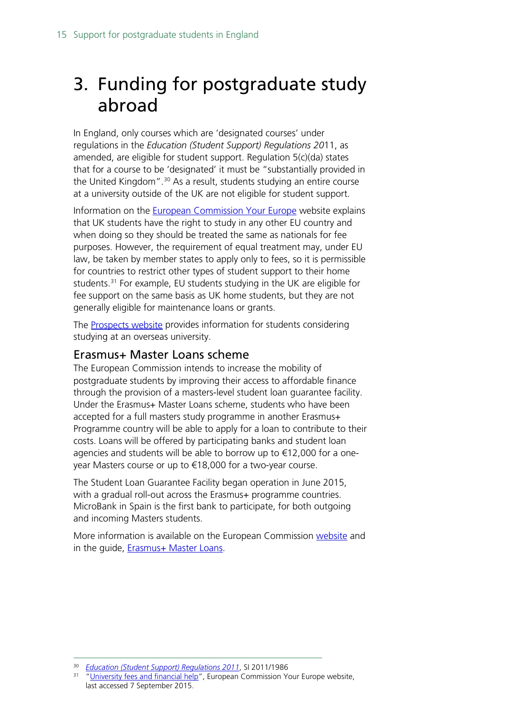## <span id="page-14-0"></span>3. Funding for postgraduate study abroad

In England, only courses which are 'designated courses' under regulations in the *Education (Student Support) Regulations 20*11, as amended, are eligible for student support. Regulation 5(c)(da) states that for a course to be 'designated' it must be "substantially provided in the United Kingdom".<sup>[30](#page-14-2)</sup> As a result, students studying an entire course at a university outside of the UK are not eligible for student support.

Information on the [European Commission Your Europe](http://europa.eu/youreurope/citizens/education/university/fees-and-financial-help/index_en.htm) website explains that UK students have the right to study in any other EU country and when doing so they should be treated the same as nationals for fee purposes. However, the requirement of equal treatment may, under EU law, be taken by member states to apply only to fees, so it is permissible for countries to restrict other types of student support to their home students.<sup>[31](#page-14-3)</sup> For example, EU students studying in the UK are eligible for fee support on the same basis as UK home students, but they are not generally eligible for maintenance loans or grants.

The **Prospects website** provides information for students considering studying at an overseas university.

#### <span id="page-14-1"></span>Erasmus+ Master Loans scheme

The European Commission intends to increase the mobility of postgraduate students by improving their access to affordable finance through the provision of a masters-level student loan guarantee facility. Under the Erasmus+ Master Loans scheme, students who have been accepted for a full masters study programme in another Erasmus+ Programme country will be able to apply for a loan to contribute to their costs. Loans will be offered by participating banks and student loan agencies and students will be able to borrow up to €12,000 for a oneyear Masters course or up to €18,000 for a two-year course.

The Student Loan Guarantee Facility began operation in June 2015, with a gradual roll-out across the Erasmus+ programme countries. MicroBank in Spain is the first bank to participate, for both outgoing and incoming Masters students.

More information is available on the European Commission [website](http://ec.europa.eu/education/opportunities/higher-education/masters-loans_en.htm) and in the guide, **Erasmus+ Master Loans**.

 <sup>30</sup> *[Education \(Student Support\) Regulations 201](http://www.opsi.gov.uk/si/si2009/uksi_20091555_en_3)1*, SI 2011/1986

<span id="page-14-3"></span><span id="page-14-2"></span><sup>&</sup>lt;sup>31</sup> ["University fees and financial help"](http://europa.eu/youreurope/citizens/education/university/fees-and-financial-help/index_en.htm), European Commission Your Europe website, last accessed 7 September 2015.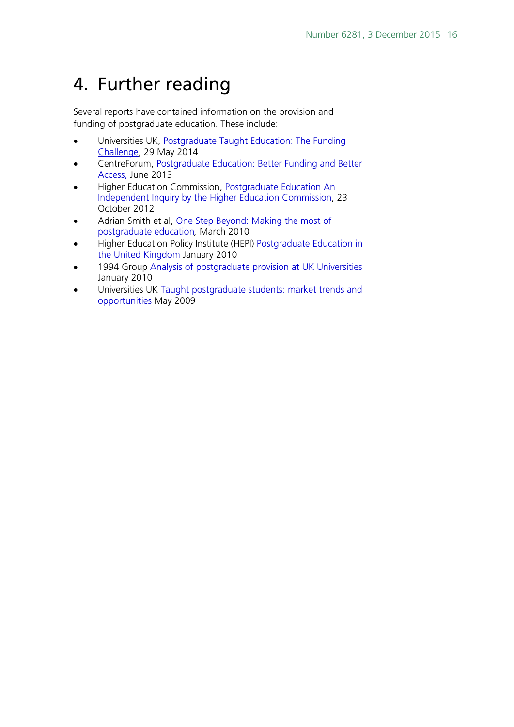## <span id="page-15-0"></span>4. Further reading

Several reports have contained information on the provision and funding of postgraduate education. These include:

- Universities UK, Postgraduate Taught Education: The Funding [Challenge,](http://www.universitiesuk.ac.uk/highereducation/Documents/2014/PostgraduateTaughtEducationTheFundingChallenge.pdf) 29 May 2014
- CentreForum, [Postgraduate Education: Better Funding and Better](http://www.centreforum.org/assets/pubs/postgrad-education.pdf)  [Access,](http://www.centreforum.org/assets/pubs/postgrad-education.pdf) June 2013
- Higher Education Commission, [Postgraduate Education An](http://www.policyconnect.org.uk/hec/research/report-postgraduate-education)  [Independent Inquiry by the Higher Education Commission,](http://www.policyconnect.org.uk/hec/research/report-postgraduate-education) 23 October 2012
- Adrian Smith et al, One Step Beyond: Making the most of [postgraduate education](http://webarchive.nationalarchives.gov.uk/20121212135622/http:/www.bis.gov.uk/assets/BISCore/corporate/docs/P/10-704-one-step-beyond-postgraduate-education.pdf)*,* March 2010
- Higher Education Policy Institute (HEPI) [Postgraduate Education in](http://www.bl.uk/aboutus/highered/helibs/postgraduate_education.pdf)  [the United Kingdom](http://www.bl.uk/aboutus/highered/helibs/postgraduate_education.pdf) January 2010
- 1994 Group [Analysis of postgraduate provision at UK Universities](http://www2.le.ac.uk/departments/gradschool/about/role/external/publications/pgprovision.pdf) January 2010
- Universities UK Taught postgraduate students: market trends and [opportunities](http://www.universitiesuk.ac.uk/highereducation/Documents/2009/TaughtPostgraduateStudents.pdf) May 2009